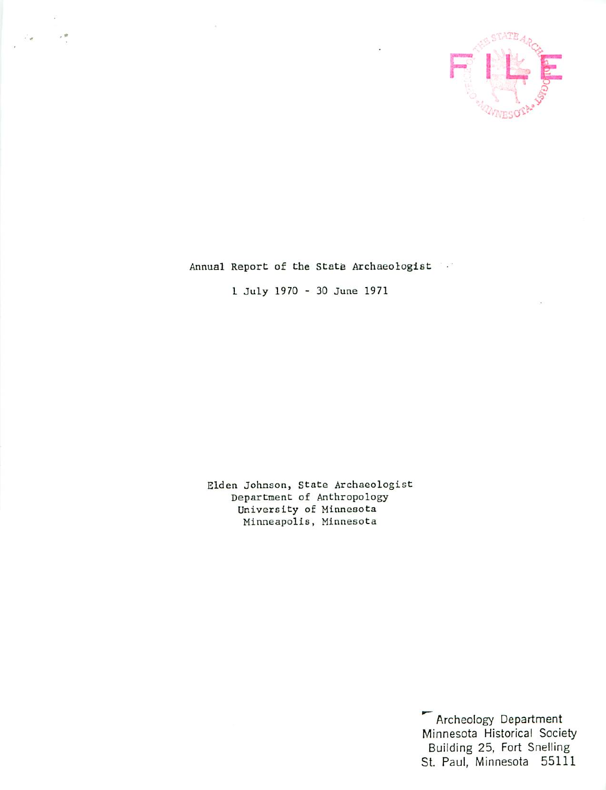

Annual Report of the State Archaeologist

July 1970 30 June 1971

Elden Johnson, State Archaeologist Department of Anthropology University of Minnesota Minneapolis, Minnesota

> Archeology Department Minnesota Historical Society Building 25, Fort Snelling St. Paul, Minnesota 55111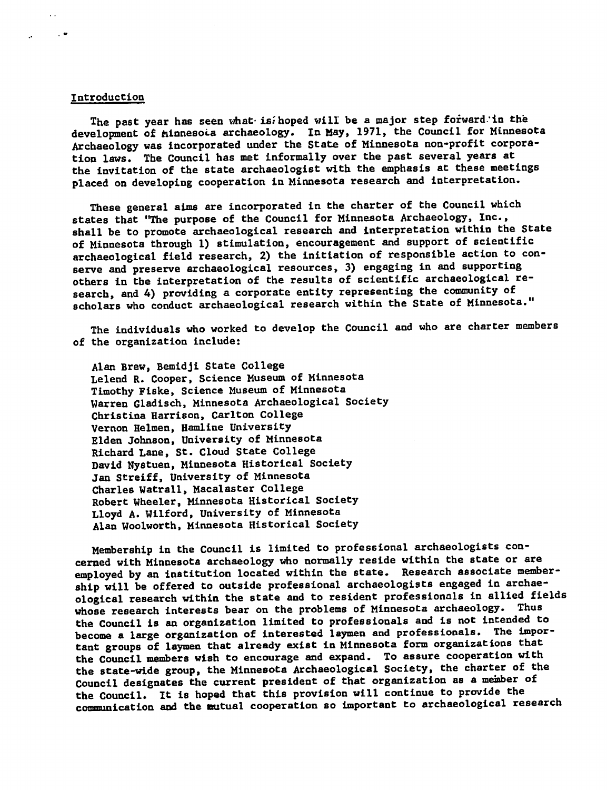## Introduction

 $\sim$ 

The past year has seen what is. hoped will be a major step forward in the development of minnesola archaeology. In May, 1971, the Council for Minnesota Archaeology was incorporated under the State of Minnesota non-profit corpora tion laws. The Council has met informally over the past several years at the invitation of the state archaeologist with the emphasis at these meetings placed on developing cooperation in Minnesota research and interpretation.

These general aims are incorporated in the charter of the Council which states that "The purpose of the Council for Minnesota Archaeology, Inc., shall be to promote archaeological research and interpretation within the State of Minnesota through 1) stimulation, encouragement and support of scientific archaeological field research, 2) the initiation of responsible action to con serve and preserve archaeological resources, 3) engaging in and supporting others in the interpretation of the results of scientific archaeological re search, and 4) providing a corporate entity representing the community of scholars who conduct archaeological research within the State of Minnesota."

The individuals who worked to develop the Council and who are charter members of the organization include:

Alan Brew, Bemidji State College Leiend R. Cooper, Science Museum of Minnesota Timothy Fieke, Science Museum of Minnesota Warren Gladisch, Minnesota Archaeological Society Christina Harrison, Carlton College Vernon Helmen, Hamline University Elden Johnson, University of Minnesota Richard Lane, St. Cloud State College David Nystuen, Minnesota Historical Society Jan Streiff, University of Minnesota Charles Watrall, Macalaster College Robert Wheeler, Minnesota Historical Society Lloyd A. Wilford, University of Minnesota Alan Woolworth, Minnesota Historical Society

Membership in the Council is limited to professional archaeologists con cerned with Minnesota archaeology who normally reside within the state or are employed by an institution located within the state. Research associate member ship will be offered to outside professional archaeologists engaged in archaeological research within the state and to resident professionals in allied fields whose research interests bear on the problems of Minnesota archaeology. Thus the Council is an organization limited to professionals and is not intended to become a large organization of interested laymen and professionals. The important groups of laymen that already exist in Minnesota form organizations that the Council members wish to encourage and expand. To assure cooperation with the state-wide group, the Minnesota Archaeological Society, the charter of the Council designates the current president of that organization as member of the Council. It is hoped that this provision will continue to provide the communication and the Mutual cooperation so important to archaeological research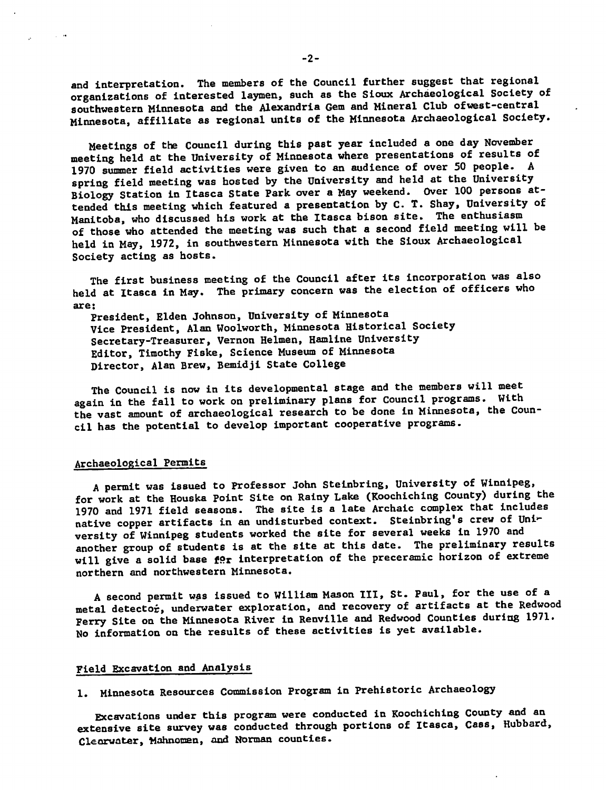and interpretation. The members of the Council further suggest that regional organizations of interested laymen, such as the Sioux Archaeological Society of southwestern Minnesota and the Alexandria Gem and Mineral Club ofwest-central Minnesota, affiliate as regional units of the Minnesota Archaeological Society.

Meetings of the Council during this past year included a one day November meeting held at the University of Minnesota where presentations of results of 1970 summer field activities were given to an audience of over 50 people. spring field meeting was hosted by the University and held at the University Biology Station in Itasca State Park over a May weekend. Over 100 persons attended this meeting which featured a presentation by C. T. Shay, University of Manitoba, who discussed his work at the Itasca bison site. The enthusiasm of those who attended the meeting was such that a second field meeting will be held in May, 1972, in southwestern Minnesota with the Sioux Archaeological Society acting as hosts.

The first business meeting of the Council after its incorporation was also held at Itasca in May. The primary concern was the election of officers who are:

President, Elden Johnson, University of Minnesota Vice President, Alan Woolworth, Minnesota Historical Society Secretary-Treasurer, Vernon Helmen, Hamline University Editor, Timothy Fiske, Science Museum of Minnesota Director, Alan Brew, Bemidji State College

The Council is now in its developmental stage and the members will meet again in the fall to work on preliminary plans for Council programs. With the vast amount of archaeological research to be done in Minnesota, the Coun cil has the potential to develop important cooperative programs.

## Archaeological Permits

 $\sim 10^{-14}$ 

permit was issued to Professor John Steinbring, University of Winnipeg, for work at the Houska point Site on Rainy Lake (Koochiching County) during the 1970 and 1971 field seasons. The site is late Archaic complex that includes native copper artifacts in an undisturbed context. Steinbring's crew of University of Winnipeg students worked the site for several weeks in 1970 and another group of students is at the site at this date. The preliminary results will give a solid base  $f\Omega r$  interpretation of the preceramic horizon of extreme northern and northwestern Minnesota.

A second permit was issued to William Mason III, St. Paul, for the use of a metal detector, underwater exploration, and recovery of artifacts at the Redwood Ferry Site on the Minnesota River in Renville and Redwood Counties during 1971. No information on the results of these activities is yet available.

# Field Excavation and Analysis

1. Minnesota Resources Commission Program in Prehistoric Archaeology

Excavations under this program were conducted in Koochiching County and an extensive site survey was conducted through portions of Itasca, Cass, Hubbard, Cleorvater, Mahnomen, and Norman counties.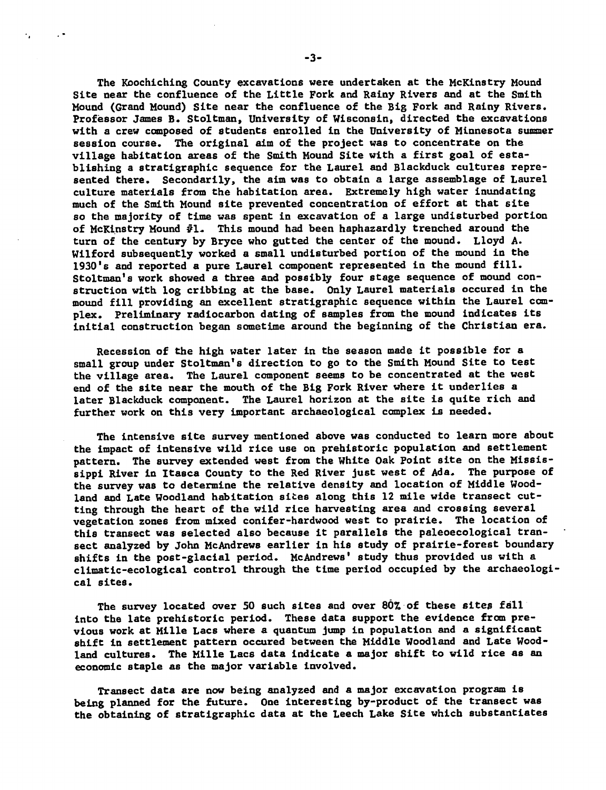The Koochlchlng County excavations were undertaken at the McKinstry Mound Site near the confluence of the Little Fork and Rainy Rivers and at the Smith Mound (Grand Mound) Site near the confluence of the Big Fork and Rainy Rivers. Professor James B. Stoltman, University of Wisconsin, directed the excavations with a crew composed of students enrolled in the University of Minnesota summer session course. The original aim of the project was to concentrate on the village habitation areas of the Smith Mound Site with a first goal of establishing a stratigraphic sequence for the Laurel and Blackduck cultures represented there. Secondarily, the aim was to obtain a large assemblage of Laurel culture materials from the habitation area. Extremely high water inundating much of the Smith Mound site prevented concentration of effort at that site so the majority of time was spent in excavation of a large undisturbed portion of McKinstry Mound #1- This mound had been haphazardly trenched around the turn of the century by Bryce who gutted the center of the mound. Lloyd A. Wilford subsequently worked a small undisturbed portion of the mound in the 1930's and reported a pure Laurel component represented in the mound fill. Stoltman's work showed a three and possibly four stage sequence of mound construction with log cribbing at the base. Only Laurel materials occured in the mound fill providing an excellent stratigraphic sequence within the Laurel com plex. Preliminary radiocarbon dating of samples from the mound indicates its initial construction began sometime around the beginning of the Christian era.

Recession of the high water later in the season made it possible for small group under Stoltman's direction to go to the Smith Mound Site to test the village area. The Laurel component seems to be concentrated at the west end of the site near the mouth of the Big Fork River where it underlies a later Blackduck component. The Laurel horizon at the site is quite rich and further work on this very important archaeological complex is needed.

The intensive site survey mentioned above was conducted to learn more about the impact of intensive wild rice use on prehistoric population and settlement pattern. The survey extended west from the White Oak Point site on the Missis sippi River in Itasca County to the Red River Just west of Ada. The purpose of the survey was to determine the relative density and location of Middle Wood land and Late Woodland habitation sices along this 12 mile wide transect cut ting through the heart of the wild rice harvesting area and crossing several vegetation zones from mixed conifer-hardwood west to prairie. The location of this transect was selected also because it parallels the paleoecological tran sect analyzed by John McAndrews earlier in his study of prairie-forest boundary shifts in the post-glacial period. McAndrews' study thus provided us with a climatic-ecological control through the time period occupied by the archaeologi cal sites.

The survey located over 50 such sites and over 80% of these sites fall into the late prehistoric period. These data support the evidence from pre vious work at Mille Lacs where a quantum jump in population and a significant shift in settlement pattern occured between the Middle Woodland and Late Woodland cultures. The Mille Lacs data indicate a major shift to wild rice as an economic staple as the major variable involved.

Transect data are now being analyzed and a major excavation program is being planned for the future. One interesting by-product of the transect was the obtaining of stratigraphic data at the Leech Lake Site which substantiates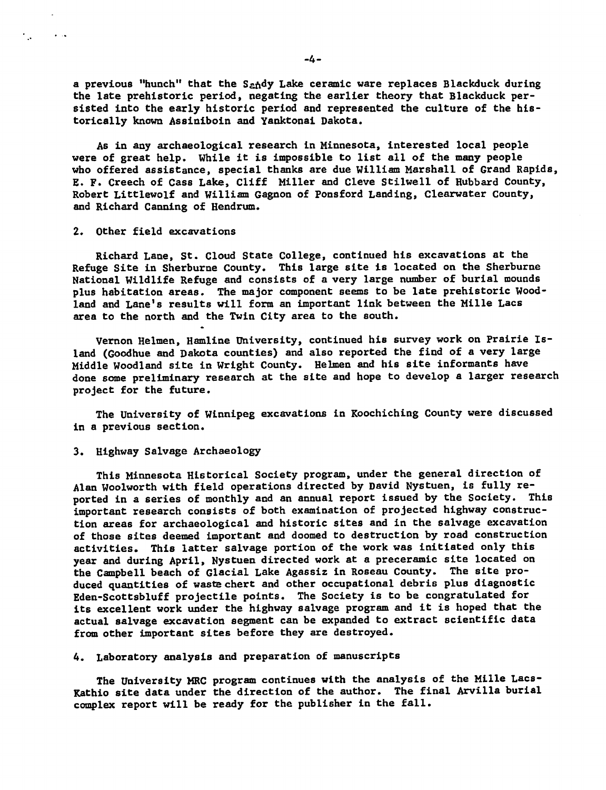a previous "hunch" that the Sandy Lake ceramic ware replaces Blackduck during the late prehistoric period, negating the earlier theory that Blackduck per sisted into the early historic period and represented the culture of the his torically known Assiniboin and Yanktonai Dakota.

As in any archaeological research in Minnesota, interested local people were of great help. While it is impossible to list all of the many people who offered assistance, special thanks are due William Marshall of Grand Rapids, E. F. Creech of Cass Lake, Cliff Miller and Cleve Stilwell of Hubbard County, Robert Littlewolf and William Gagnon of Ponsford Landing, Clearwater County, and Richard Canning of Hendrum.

## 2. Other field excavations

بمنافذ المستورة

Richard Lane, St. Cloud State College, continued his excavations at the Refuge Site in Sherburne County. This large site is located on the Sherburne National Wildlife Refuge and consists of a very large number of burial mounds plus habitation areas. The major component seems to be late prehistoric Woodland and Lane's results will form an important link between the Mille Lacs area to the north and the Twin City area to the south.

Vernon Helmen, Hamline University, continued his survey work on Prairie Is land (Goodhue and Dakota counties) and also reported the find of a very large Middle Woodland site in Wright County. Helmen and his site informants have done some preliminary research at the site and hope to develop a larger research project for the future.

The University of Winnipeg excavations in Koochiching County were discussed in a previous section.

## 3. Highway Salvage Archaeology

This Minnesota Historical Society program, under the general direction of Alan Woolworth with field operations directed by David Nystuen, is fully re ported in a series of monthly and an annual report issued by the Society. This important research consists of both examination of projected highway construc tion areas for archaeological and historic sites and in the salvage excavation of those sites deemed important and doomed to destruction by road construction activities. This latter salvage portion of the work was initiated only this year and during April, Nystuen directed work at a preceramic site located on the Campbell beach of Glacial Lake Agassiz in Roseau County. The site pro duced quantities of waste chert and other occupational debris plus diagnostic Eden-Scottsbluff projectile points. The Society is to be congratulated for its excellent work under the highway salvage program and it is hoped that the actual salvage excavation segment can be expanded to extract scientific data from other important sites before they are destroyed.

4. Laboratory analysis and preparation of manuscripts

The University MRC program continues with the analysis of the Mille Lacs-Kathio site data under the direction of the author. The final Arvilla burial complex report will be ready for the publisher in the fall.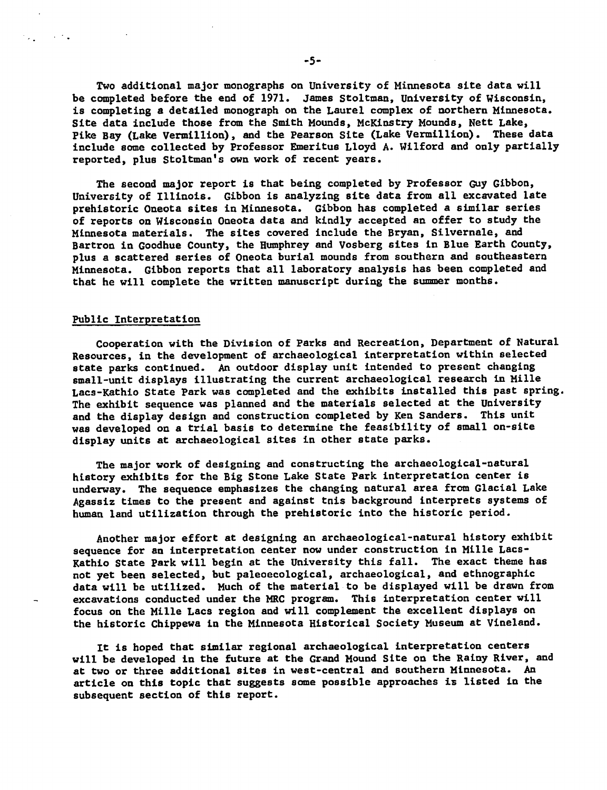Two additional major monographs on University of Minnesota site data will be completed before the end of 1971. James Stoltman, University of Wisconsin, is completing detailed monograph on the Laurel complex of northern Minnesota. Site data include those from the Smith Mounds, McKinstry Mounds, Nett Lake, Pike Bay (Lake Vermillion), and the Pearson Site (Lake Vermillion). These data include some collected by Professor Emeritus Lloyd A. Wilford and only partially reported, plus Stoltman's own work of recent years.

The second major report is that being completed by Professor Guy Gibbon, University of Illinois. Gibbon is analyzing site data from all excavated late prehistoric Oneota sites in Minnesota. Gibbon has completed a similar series of reports on Wisconsin Oneota data and kindly accepted an offer to study the Minnesota materials. The sites covered include the Bryan, Silvernale, and Bartron in Goodhue County, the Humphrey and Vosberg sites in Blue Earth County, plus a scattered series of Oneota burial mounds from southern and southeastern Minnesota. Gibbon reports that all laboratory analysis has been completed and that he will complete the written manuscript during the summer months.

## Public Interpretation

 $\mathcal{L}_{\bullet}$  , and  $\mathcal{L}_{\bullet}$ 

Cooperation with the Division of Parks and Recreation, Department of Natural Resources, in the development of archaeological interpretation within selected state parks continued. An outdoor display unit intended to present changing small-unit displays illustrating the current archaeological research in Mille Lacs-Kathio State Park was completed and the exhibits installed this past spring. The exhibit sequence was planned and the materials selected at the University and the display design and construction completed by Ken Sanders. This unit was developed on a trial basis to determine the feasibility of small on-site display units at archaeological sites in other state parks.

The major work of designing and constructing the archaeological-natural history exhibits for the Big Stone Lake State Park interpretation center is underway. The sequence emphasizes the changing natural area from Glacial Lake Agassiz times to the present and against tnis background interprets systems of human land utilization through the prehistoric into the historic period.

Another major effort at designing an archaeological-natural history exhibit sequence for an interpretation center now under construction in Mille Lacs-Kathio State Park will begin at the University this fall. The exact theme has not yet been selected, but paleoecological, archaeological, and ethnographic data will be utilized. Much of the material to be displayed will be drawn from excavations conducted under the MRC program. This interpretation center will focus on the Mille Lacs region and will complement the excellent displays on the historic Chippewa in the Minnesota Historical Society Museum at Vineland.

It is hoped that similar regional archaeological interpretation centers will be developed in the future at the Grand Mound Site on the Rainy River, and at two or three additional sites in west-central and southern Minnesota. An article on this topic that suggests some possible approaches is listed in the subsequent section of this report.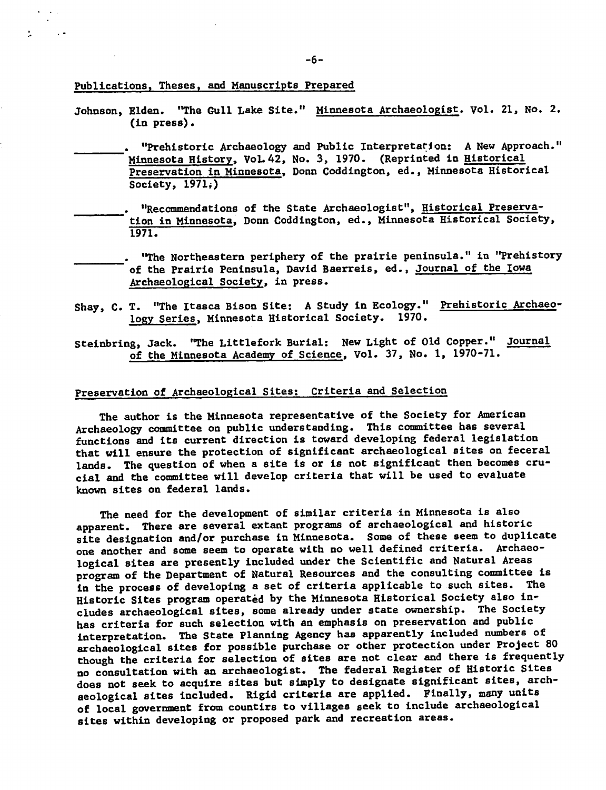Publications, Theses, and Manuscripts Prepared

- Johnson, Elden. "The Gull Lake Site." Minnesota Archaeologist, vol. 21, No. 2. (in press).
	- "Prehistoric Archaeology and Public Interpretation: New Approach." Minnesota History, VoL 42, No. 3, 1970. (Reprinted in Historical Preservation in Minnesota, Donn Coddington, ed., Minnesota Historical Society, 1971;)
- "Recommendations of the State Archaeologist", Historical Preserva tion in Minnesota, Donn Coddington, ed., Minnesota Historical Society, 1971.
- "The Northeastern periphery of the prairie peninsula." in "Prehistory of the Prairie Peninsula, David Baerreis, ed., Journal of the Iowa Archaeological Society, in press.
- Shay, C. T. "The Itasca Bison Site: A Study in Ecology." Prehistoric Archaeology Series, Minnesota Historical Society. 1970.
- Steinbring, Jack. "The Littlefork Burial: New Light of Old Copper." Journal of the Minnesota Academy of Science, Vol. 37, No. 1, 1970-71.

# Preservation of Archaeological Sites: Criteria and Selection

The author is the Minnesota representative of the Society for American Archaeology committee on public understanding. This committee has several functions and its current direction is toward developing federal legislation that will ensure the protection of significant archaeological sites on feceral lands. The question of when a site is or is not significant then becomes crucial and the committee will develop criteria that will be used to evaluate known sites on federal lands.

The need for the development of similar criteria in Minnesota is also apparent. There are several extant programs of archaeological and historic site designation and/or purchase in Minnesota. Some of these seem to duplicate one another and some seem to operate with no well defined criteria. Archaeo logical sites are presently included under the Scientific and Natural Areas program of the Department of Natural Resources and the consulting committee is in the process of developing a set of criteria applicable to such sites. The Historic Sites program operated by the Minnesota Historical Society also in cludes archaeological sites, some already under state ownership. The Society has criteria for such selection with an emphasis on preservation and public interpretation. The State Planning Agency has apparently included numbers of archaeological sites for possible purchase or other protection under Project 80 though the criteria for selection of sites are not clear and there is frequently no consultation with an archaeologist. The federal Register of Historic Sites does not seek to acquire sites but simply to designate significant sites, archaeological sites included. Rigid criteria are applied. Finally, many units of local government from countirs to villages seek to include archaeological sites within developing or proposed park and recreation areas.